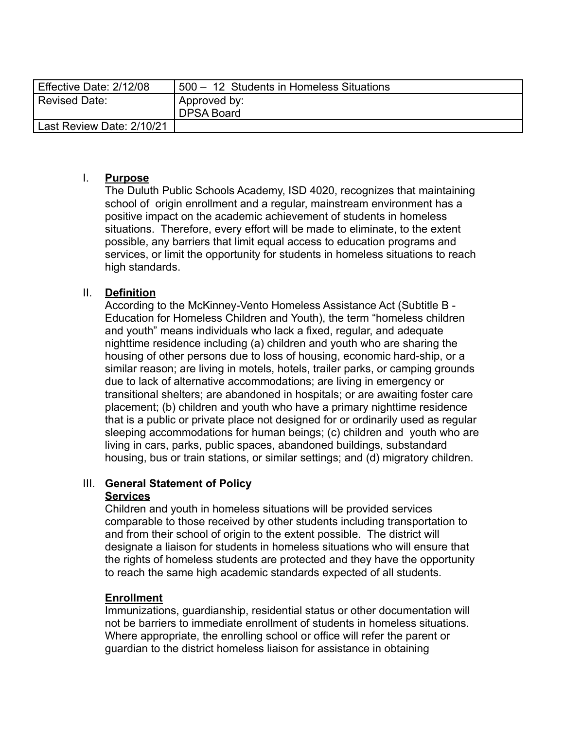| Effective Date: 2/12/08   | 500 - 12 Students in Homeless Situations |
|---------------------------|------------------------------------------|
| Revised Date:             | Approved by:<br><b>DPSA Board</b>        |
| Last Review Date: 2/10/21 |                                          |

#### I. **Purpose**

The Duluth Public Schools Academy, ISD 4020, recognizes that maintaining school of origin enrollment and a regular, mainstream environment has a positive impact on the academic achievement of students in homeless situations. Therefore, every effort will be made to eliminate, to the extent possible, any barriers that limit equal access to education programs and services, or limit the opportunity for students in homeless situations to reach high standards.

### II. **Definition**

According to the McKinney-Vento Homeless Assistance Act (Subtitle B - Education for Homeless Children and Youth), the term "homeless children and youth" means individuals who lack a fixed, regular, and adequate nighttime residence including (a) children and youth who are sharing the housing of other persons due to loss of housing, economic hard-ship, or a similar reason; are living in motels, hotels, trailer parks, or camping grounds due to lack of alternative accommodations; are living in emergency or transitional shelters; are abandoned in hospitals; or are awaiting foster care placement; (b) children and youth who have a primary nighttime residence that is a public or private place not designed for or ordinarily used as regular sleeping accommodations for human beings; (c) children and youth who are living in cars, parks, public spaces, abandoned buildings, substandard housing, bus or train stations, or similar settings; and (d) migratory children.

# III. **General Statement of Policy**

### **Services**

Children and youth in homeless situations will be provided services comparable to those received by other students including transportation to and from their school of origin to the extent possible. The district will designate a liaison for students in homeless situations who will ensure that the rights of homeless students are protected and they have the opportunity to reach the same high academic standards expected of all students.

### **Enrollment**

Immunizations, guardianship, residential status or other documentation will not be barriers to immediate enrollment of students in homeless situations. Where appropriate, the enrolling school or office will refer the parent or guardian to the district homeless liaison for assistance in obtaining